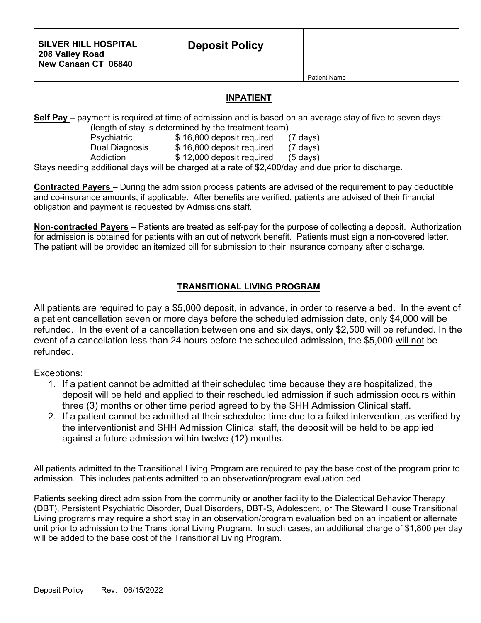Patient Name

## **INPATIENT**

**Self Pay –** payment is required at time of admission and is based on an average stay of five to seven days: (length of stay is determined by the treatment team)

 Psychiatric \$ 16,800 deposit required (7 days) Dual Diagnosis  $$ 16,800$  deposit required (7 days)

Addiction  $$ 12,000$  deposit required (5 days)

Stays needing additional days will be charged at a rate of \$2,400/day and due prior to discharge.

**Contracted Payers –** During the admission process patients are advised of the requirement to pay deductible and co-insurance amounts, if applicable. After benefits are verified, patients are advised of their financial obligation and payment is requested by Admissions staff.

**Non-contracted Payers** – Patients are treated as self-pay for the purpose of collecting a deposit. Authorization for admission is obtained for patients with an out of network benefit. Patients must sign a non-covered letter. The patient will be provided an itemized bill for submission to their insurance company after discharge.

## **TRANSITIONAL LIVING PROGRAM**

All patients are required to pay a \$5,000 deposit, in advance, in order to reserve a bed. In the event of a patient cancellation seven or more days before the scheduled admission date, only \$4,000 will be refunded. In the event of a cancellation between one and six days, only \$2,500 will be refunded. In the event of a cancellation less than 24 hours before the scheduled admission, the \$5,000 will not be refunded.

Exceptions:

- 1. If a patient cannot be admitted at their scheduled time because they are hospitalized, the deposit will be held and applied to their rescheduled admission if such admission occurs within three (3) months or other time period agreed to by the SHH Admission Clinical staff.
- 2. If a patient cannot be admitted at their scheduled time due to a failed intervention, as verified by the interventionist and SHH Admission Clinical staff, the deposit will be held to be applied against a future admission within twelve (12) months.

All patients admitted to the Transitional Living Program are required to pay the base cost of the program prior to admission. This includes patients admitted to an observation/program evaluation bed.

Patients seeking direct admission from the community or another facility to the Dialectical Behavior Therapy (DBT), Persistent Psychiatric Disorder, Dual Disorders, DBT-S, Adolescent, or The Steward House Transitional Living programs may require a short stay in an observation/program evaluation bed on an inpatient or alternate unit prior to admission to the Transitional Living Program. In such cases, an additional charge of \$1,800 per day will be added to the base cost of the Transitional Living Program.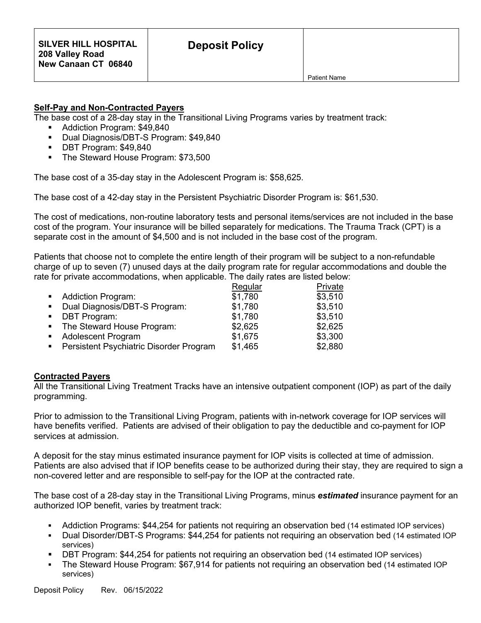## **Self-Pay and Non-Contracted Payers**

The base cost of a 28-day stay in the Transitional Living Programs varies by treatment track:

- Addiction Program: \$49,840
- Dual Diagnosis/DBT-S Program: \$49,840
- DBT Program: \$49,840
- The Steward House Program: \$73,500

The base cost of a 35-day stay in the Adolescent Program is: \$58,625.

The base cost of a 42-day stay in the Persistent Psychiatric Disorder Program is: \$61,530.

The cost of medications, non-routine laboratory tests and personal items/services are not included in the base cost of the program. Your insurance will be billed separately for medications. The Trauma Track (CPT) is a separate cost in the amount of \$4,500 and is not included in the base cost of the program.

Patients that choose not to complete the entire length of their program will be subject to a non-refundable charge of up to seven (7) unused days at the daily program rate for regular accommodations and double the rate for private accommodations, when applicable. The daily rates are listed below:

|                                                            | Regular | Private |
|------------------------------------------------------------|---------|---------|
| • Addiction Program:                                       | \$1,780 | \$3,510 |
| Dual Diagnosis/DBT-S Program:<br>$\mathbf{E} = \mathbf{E}$ | \$1,780 | \$3,510 |
| • DBT Program:                                             | \$1,780 | \$3,510 |
| • The Steward House Program:                               | \$2,625 | \$2,625 |
| • Adolescent Program                                       | \$1,675 | \$3,300 |
| Persistent Psychiatric Disorder Program<br>$\blacksquare$  | \$1,465 | \$2,880 |

## **Contracted Payers**

All the Transitional Living Treatment Tracks have an intensive outpatient component (IOP) as part of the daily programming.

Prior to admission to the Transitional Living Program, patients with in-network coverage for IOP services will have benefits verified. Patients are advised of their obligation to pay the deductible and co-payment for IOP services at admission.

A deposit for the stay minus estimated insurance payment for IOP visits is collected at time of admission. Patients are also advised that if IOP benefits cease to be authorized during their stay, they are required to sign a non-covered letter and are responsible to self-pay for the IOP at the contracted rate.

The base cost of a 28-day stay in the Transitional Living Programs, minus *estimated* insurance payment for an authorized IOP benefit, varies by treatment track:

- Addiction Programs: \$44,254 for patients not requiring an observation bed (14 estimated IOP services)
- Dual Disorder/DBT-S Programs: \$44,254 for patients not requiring an observation bed (14 estimated IOP services)
- DBT Program: \$44,254 for patients not requiring an observation bed (14 estimated IOP services)
- The Steward House Program: \$67,914 for patients not requiring an observation bed (14 estimated IOP services)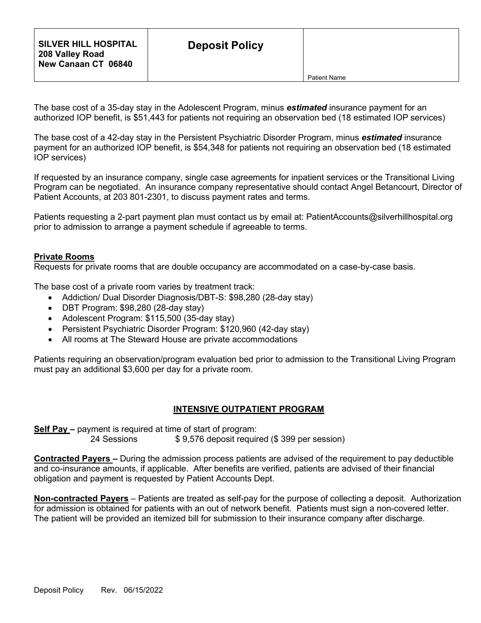The base cost of a 35-day stay in the Adolescent Program, minus *estimated* insurance payment for an authorized IOP benefit, is \$51,443 for patients not requiring an observation bed (18 estimated IOP services)

The base cost of a 42-day stay in the Persistent Psychiatric Disorder Program, minus *estimated* insurance payment for an authorized IOP benefit, is \$54,348 for patients not requiring an observation bed (18 estimated IOP services)

If requested by an insurance company, single case agreements for inpatient services or the Transitional Living Program can be negotiated. An insurance company representative should contact Angel Betancourt, Director of Patient Accounts, at 203 801-2301, to discuss payment rates and terms.

Patients requesting a 2-part payment plan must contact us by email at: PatientAccounts@silverhillhospital.org prior to admission to arrange a payment schedule if agreeable to terms.

### **Private Rooms**

Requests for private rooms that are double occupancy are accommodated on a case-by-case basis.

The base cost of a private room varies by treatment track:

- Addiction/ Dual Disorder Diagnosis/DBT-S: \$98,280 (28-day stay)
- DBT Program: \$98,280 (28-day stay)
- Adolescent Program: \$115,500 (35-day stay)
- Persistent Psychiatric Disorder Program: \$120,960 (42-day stay)
- All rooms at The Steward House are private accommodations

Patients requiring an observation/program evaluation bed prior to admission to the Transitional Living Program must pay an additional \$3,600 per day for a private room.

#### **INTENSIVE OUTPATIENT PROGRAM**

**Self Pay –** payment is required at time of start of program:

\$ 9,576 deposit required (\$ 399 per session)

**Contracted Payers –** During the admission process patients are advised of the requirement to pay deductible and co-insurance amounts, if applicable. After benefits are verified, patients are advised of their financial obligation and payment is requested by Patient Accounts Dept.

**Non-contracted Payers** – Patients are treated as self-pay for the purpose of collecting a deposit. Authorization for admission is obtained for patients with an out of network benefit. Patients must sign a non-covered letter. The patient will be provided an itemized bill for submission to their insurance company after discharge.